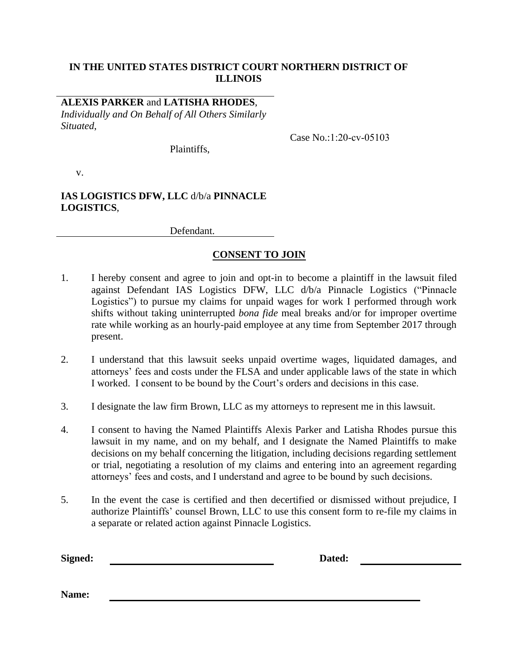#### **IN THE UNITED STATES DISTRICT COURT NORTHERN DISTRICT OF ILLINOIS**

#### **ALEXIS PARKER** and **LATISHA RHODES**, *Individually and On Behalf of All Others Similarly Situated*,

Case No.:1:20-cv-05103

v.

## **IAS LOGISTICS DFW, LLC** d/b/a **PINNACLE LOGISTICS**,

Defendant.

Plaintiffs,

## **CONSENT TO JOIN**

- 1. I hereby consent and agree to join and opt-in to become a plaintiff in the lawsuit filed against Defendant IAS Logistics DFW, LLC d/b/a Pinnacle Logistics ("Pinnacle Logistics") to pursue my claims for unpaid wages for work I performed through work shifts without taking uninterrupted *bona fide* meal breaks and/or for improper overtime rate while working as an hourly-paid employee at any time from September 2017 through present.
- 2. I understand that this lawsuit seeks unpaid overtime wages, liquidated damages, and attorneys' fees and costs under the FLSA and under applicable laws of the state in which I worked. I consent to be bound by the Court's orders and decisions in this case.
- 3. I designate the law firm Brown, LLC as my attorneys to represent me in this lawsuit.
- 4. I consent to having the Named Plaintiffs Alexis Parker and Latisha Rhodes pursue this lawsuit in my name, and on my behalf, and I designate the Named Plaintiffs to make decisions on my behalf concerning the litigation, including decisions regarding settlement or trial, negotiating a resolution of my claims and entering into an agreement regarding attorneys' fees and costs, and I understand and agree to be bound by such decisions.
- 5. In the event the case is certified and then decertified or dismissed without prejudice, I authorize Plaintiffs' counsel Brown, LLC to use this consent form to re-file my claims in a separate or related action against Pinnacle Logistics.

**Signed: Dated:**

**Name:**